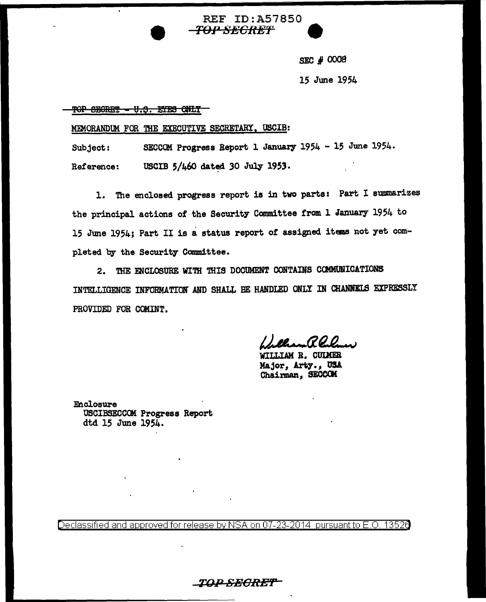**REF ID: A57850** *TOP SECRET* 

SEC  $#0008$ 

15 June 1954

TOP SECRET - U.S. ETES ONLY

MEMORANDUM FOR THE EXECUTIVE SECRETARY, USCIB:

SECCOM Progress Report 1 January 1954 - 15 June 1954. Subject: Reference: USCIB 5/460 dated 30 July 1953.

1. The enclosed progress report is in two parts: Part I summarizes the principal actions of the Security Committee from 1 January 1954 to 15 June 1954; Part II is a status report of assigned items not yet completed by the Security Committee.

2. THE ENCLOSURE WITH THIS DOCUMENT CONTAINS COMMUNICATIONS INTELLIGENCE INFORMATION AND SHALL BE HANDLED ONLY IN CHANNELS EXPRESSLY PROVIDED FOR COMINT.

WILLIAM R. CULMER Major, Arty., USA Chairman, SECCOM

Enclosure USCIBSECCOM Progress Report dtd 15 June 1954.

Declassified and approved for release by NSA on 07-23-2014 pursuant to E.O. 13526

\_TOP\_SEGRET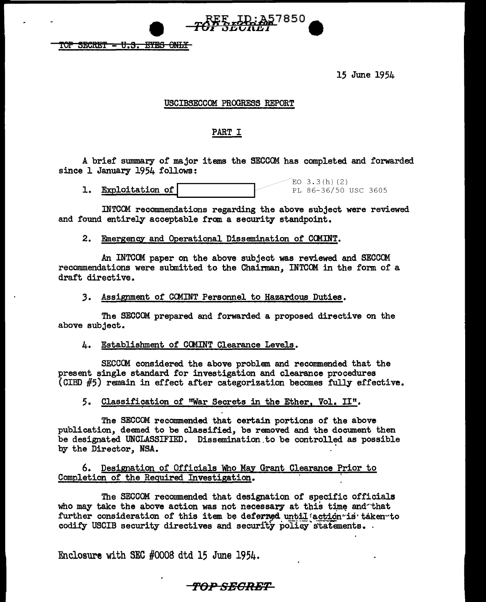TOP SECRET = U.S. EYES ONLY

15 June 1954

### USCIBSECCOM PROGRESS REPORT

957850

### PART I

A brief summary of major items the SECCOM has completed and forwarded since 1 January 1954 follows:

**1. Exploitation of**  $\overline{P_{EL}^{EQ}$   $(3.3(h)(2)$ PL 86-36/50 USC 3605

INTCOM recommendations regarding the above subject were reviewed and found entirely acceptable from a security standpoint.

### 2. Emergency and Operational Dissemination of CCMINT.

An INTCOM paper on the above subject was reviewed and SECCCM recommendations were submitted to the Chairman, INTCCM in the form of a draft directive.

#### *3.* Assignment of CCMINT Personnel to Hazardous Duties.

The SECCOM prepared and forwarded a proposed directive on the above subject.

### 4. Establishment of CCMINT Clearance Levels.

SECCOM considered the above problem and recommended that the present single standard for investigation and clearance procedures (CIBD #5) remain in effect after categorization becomes fully effective.

# 5. Classification of "War Secrets in the Ether, Vol. II".

The SECCOM recommended that certain portions of the above publication, deemed to be classified, be removed and the document then be designated UNCLASSIFIED. Dissemination.to be controlled as possible by the Director, NSA.

### 6. Designation of Officials Who May Grant Clearance Prior to Completion of the Required Investigation.

The SECCOM recommended that designation of specific officials who may take the above action was not necessary at this time and that further consideration of this item be deferred until *action*<sup>-</sup>is taken-to codify USCIB security directives and security policy statements.

Enclosure with SEC #0008 dtd 15 June 1954.

# **f'O:P SE-GRBT**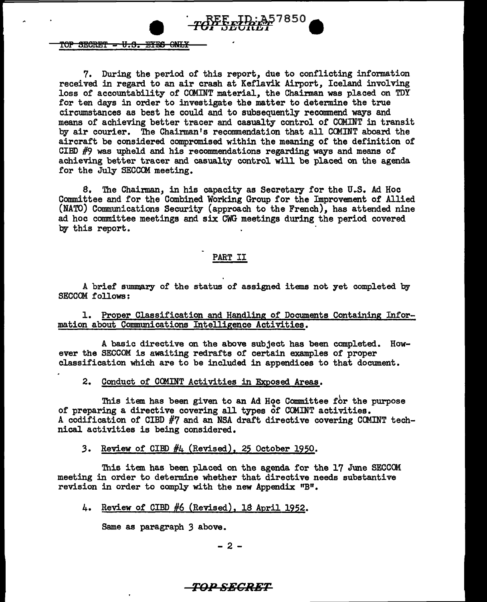

#### $TOP$  SECRET  $-$  U.S. EYES ONLY

7. During the period of this report, due to conflicting information received in regard to an air crash at Keflavik Airport, Iceland involving loss of accountability of COMINT material, the Chairman was placed on TDY :for ten days in order to investigate the matter to determine the true circumstances as best he could and to subsequently reconnnend ways and means of achieving better tracer and casualty control of COMINT in transit by air courier. The Chairman's recommendation that all COMINT aboard the aircraft be considered compromised within the meaning of the definition of CIBD  $#9$  was upheld and his recommendations regarding ways and means of achieving better tracer and casualty control will be placed on the agenda for the July SECCOM meeting.

8. The Chairman, in his capacity as Secretary for the U.S. Ad Hoc Committee and for the Combined Working Group for the Improvement of Allied (NATO) Communications Security (approach to the French), has attended nine ad hoc committee meetings and six CWG meetings during the period covered by this report.

### PART II

A brief summary of the status of assigned items not yet completed by SECCOM follows;

1. Proper Classification and Handling of Documents Containing Infor=. mation about Communications Intelligence Activities.

A basic directive on the above subject has been completed. However the SECCOM is awaiting redrafts of certain examples of proper classification which are to be included in appendices to that document.

#### 2. Conduct of COMINT Activities in Exposed Areas.

<sup>l</sup>This item has been given to an Ad Hoc Committee for the purpose of preparing a directive covering all types of COMINT activities. A codification of CIBD  $\#7$  and an NSA draft directive covering COMINT technical activities is being considered •

### .3. Review of CIBD #4 (Revised), 25 October 1950.

This item has been placed on the agenda for the 17 June SECCCM meeting in order to determine whether that directive needs substantive revision in order to comply with the new Appendix "B".

#### 4. Review of CIBD #6 (Revised), 18 April 1952.

Same as paragraph 3 above.

 $- 2 -$ 

# **TOP SECRET**